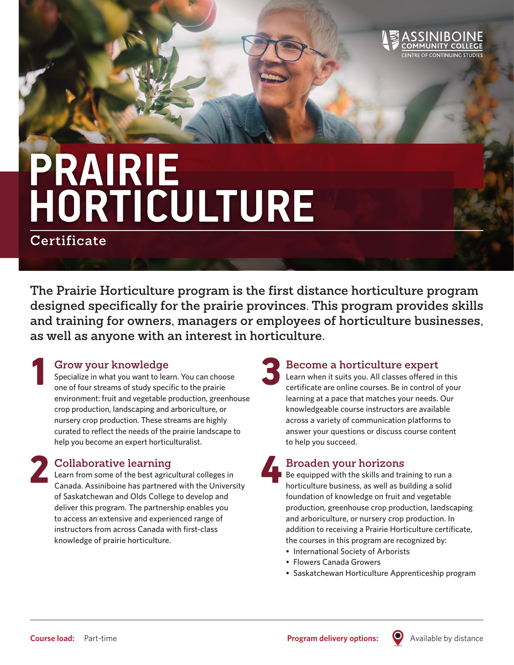

# **PRAIRIE HORTICULTURE**

**Certificate**

1

2

**The Prairie Horticulture program is the first distance horticulture program designed specifically for the prairie provinces. This program provides skills and training for owners, managers or employees of horticulture businesses, as well as anyone with an interest in horticulture.**

#### **Grow your knowledge**

Specialize in what you want to learn. You can choose one of four streams of study specific to the prairie environment: fruit and vegetable production, greenhouse crop production, landscaping and arboriculture, or nursery crop production. These streams are highly curated to reflect the needs of the prairie landscape to help you become an expert horticulturalist.

### **Collaborative learning**

Learn from some of the best agricultural colleges in Canada. Assiniboine has partnered with the University of Saskatchewan and Olds College to develop and deliver this program. The partnership enables you to access an extensive and experienced range of instructors from across Canada with first-class knowledge of prairie horticulture.

## **Become a horticulture expert** 3

Learn when it suits you. All classes offered in this certificate are online courses. Be in control of your learning at a pace that matches your needs. Our knowledgeable course instructors are available across a variety of communication platforms to answer your questions or discuss course content to help you succeed.

## **Broaden your horizons** 4

Be equipped with the skills and training to run a horticulture business, as well as building a solid foundation of knowledge on fruit and vegetable production, greenhouse crop production, landscaping and arboriculture, or nursery crop production. In addition to receiving a Prairie Horticulture certificate, the courses in this program are recognized by:

- International Society of Arborists
- Flowers Canada Growers
- Saskatchewan Horticulture Apprenticeship program